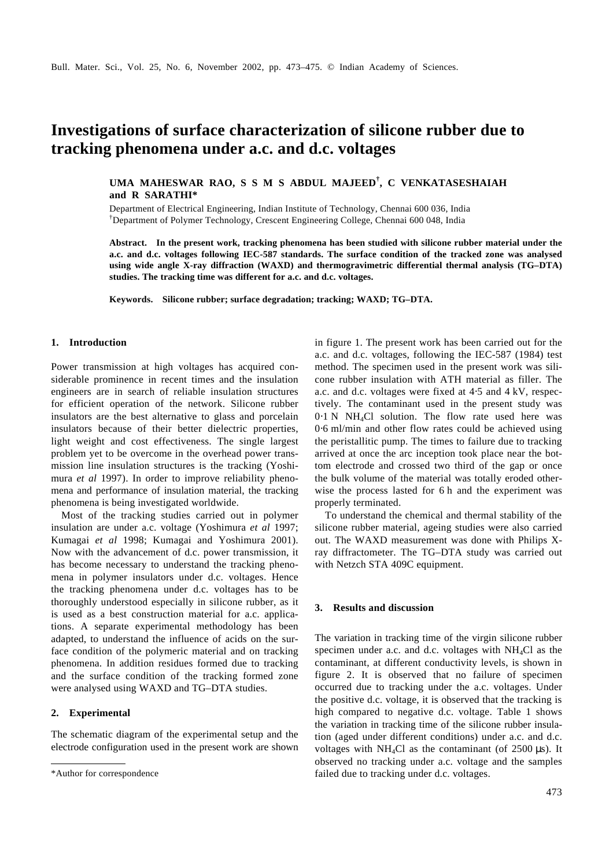# **Investigations of surface characterization of silicone rubber due to tracking phenomena under a.c. and d.c. voltages**

**UMA MAHESWAR RAO, S S M S ABDUL MAJEED† , C VENKATASESHAIAH and R SARATHI\***

Department of Electrical Engineering, Indian Institute of Technology, Chennai 600 036, India †Department of Polymer Technology, Crescent Engineering College, Chennai 600 048, India

**Abstract. In the present work, tracking phenomena has been studied with silicone rubber material under the a.c. and d.c. voltages following IEC-587 standards. The surface condition of the tracked zone was analysed using wide angle X-ray diffraction (WAXD) and thermogravimetric differential thermal analysis (TG–DTA) studies. The tracking time was different for a.c. and d.c. voltages.**

**Keywords. Silicone rubber; surface degradation; tracking; WAXD; TG–DTA.**

## **1. Introduction**

Power transmission at high voltages has acquired considerable prominence in recent times and the insulation engineers are in search of reliable insulation structures for efficient operation of the network. Silicone rubber insulators are the best alternative to glass and porcelain insulators because of their better dielectric properties, light weight and cost effectiveness. The single largest problem yet to be overcome in the overhead power transmission line insulation structures is the tracking (Yoshimura *et al* 1997). In order to improve reliability phenomena and performance of insulation material, the tracking phenomena is being investigated worldwide.

Most of the tracking studies carried out in polymer insulation are under a.c. voltage (Yoshimura *et al* 1997; Kumagai *et al* 1998; Kumagai and Yoshimura 2001). Now with the advancement of d.c. power transmission, it has become necessary to understand the tracking phenomena in polymer insulators under d.c. voltages. Hence the tracking phenomena under d.c. voltages has to be thoroughly understood especially in silicone rubber, as it is used as a best construction material for a.c. applications. A separate experimental methodology has been adapted, to understand the influence of acids on the surface condition of the polymeric material and on tracking phenomena. In addition residues formed due to tracking and the surface condition of the tracking formed zone were analysed using WAXD and TG–DTA studies.

## **2. Experimental**

The schematic diagram of the experimental setup and the electrode configuration used in the present work are shown in figure 1. The present work has been carried out for the a.c. and d.c. voltages, following the IEC-587 (1984) test method. The specimen used in the present work was silicone rubber insulation with ATH material as filler. The a.c. and d.c. voltages were fixed at 4⋅5 and 4 kV, respectively. The contaminant used in the present study was 0⋅1 N NH4Cl solution. The flow rate used here was 0⋅6 ml/min and other flow rates could be achieved using the peristallitic pump. The times to failure due to tracking arrived at once the arc inception took place near the bottom electrode and crossed two third of the gap or once the bulk volume of the material was totally eroded otherwise the process lasted for 6 h and the experiment was properly terminated.

To understand the chemical and thermal stability of the silicone rubber material, ageing studies were also carried out. The WAXD measurement was done with Philips Xray diffractometer. The TG–DTA study was carried out with Netzch STA 409C equipment.

## **3. Results and discussion**

The variation in tracking time of the virgin silicone rubber specimen under a.c. and d.c. voltages with NH4Cl as the contaminant, at different conductivity levels, is shown in figure 2. It is observed that no failure of specimen occurred due to tracking under the a.c. voltages. Under the positive d.c. voltage, it is observed that the tracking is high compared to negative d.c. voltage. Table 1 shows the variation in tracking time of the silicone rubber insulation (aged under different conditions) under a.c. and d.c. voltages with NH<sub>4</sub>Cl as the contaminant (of  $2500 \,\mu s$ ). It observed no tracking under a.c. voltage and the samples \*Author for correspondence failed due to tracking under d.c. voltages.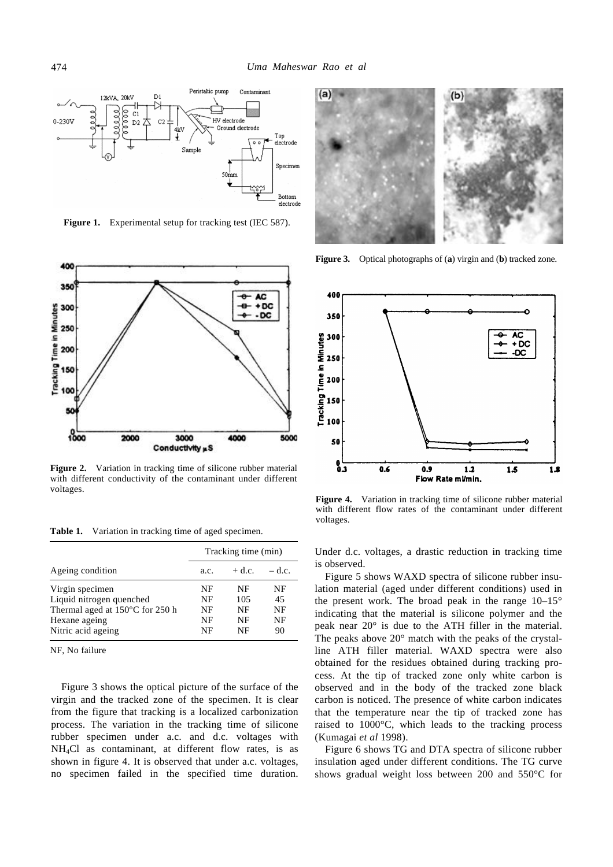

**Figure 1.** Experimental setup for tracking test (IEC 587).



**Figure 2.** Variation in tracking time of silicone rubber material with different conductivity of the contaminant under different voltages.

Table 1. Variation in tracking time of aged specimen.

|                                                                                                                                 | Tracking time (min)        |                             |                            |
|---------------------------------------------------------------------------------------------------------------------------------|----------------------------|-----------------------------|----------------------------|
| Ageing condition                                                                                                                | a.c.                       | $+$ d.c.                    | $-$ d.c.                   |
| Virgin specimen<br>Liquid nitrogen quenched<br>Thermal aged at $150^{\circ}$ C for 250 h<br>Hexane ageing<br>Nitric acid ageing | NF<br>NF<br>NF<br>NF<br>NF | NF<br>105<br>NF<br>NF<br>NF | NF<br>45<br>NF<br>NF<br>90 |

NF, No failure

Figure 3 shows the optical picture of the surface of the virgin and the tracked zone of the specimen. It is clear from the figure that tracking is a localized carbonization process. The variation in the tracking time of silicone rubber specimen under a.c. and d.c. voltages with NH4Cl as contaminant, at different flow rates, is as shown in figure 4. It is observed that under a.c. voltages, no specimen failed in the specified time duration.



**Figure 3.** Optical photographs of (**a**) virgin and (**b**) tracked zone.



**Figure 4.** Variation in tracking time of silicone rubber material with different flow rates of the contaminant under different voltages.

Under d.c. voltages, a drastic reduction in tracking time is observed.

Figure 5 shows WAXD spectra of silicone rubber insulation material (aged under different conditions) used in the present work. The broad peak in the range  $10-15^{\circ}$ indicating that the material is silicone polymer and the peak near 20° is due to the ATH filler in the material. The peaks above 20° match with the peaks of the crystalline ATH filler material. WAXD spectra were also obtained for the residues obtained during tracking process. At the tip of tracked zone only white carbon is observed and in the body of the tracked zone black carbon is noticed. The presence of white carbon indicates that the temperature near the tip of tracked zone has raised to 1000°C, which leads to the tracking process (Kumagai *et al* 1998).

Figure 6 shows TG and DTA spectra of silicone rubber insulation aged under different conditions. The TG curve shows gradual weight loss between 200 and 550°C for